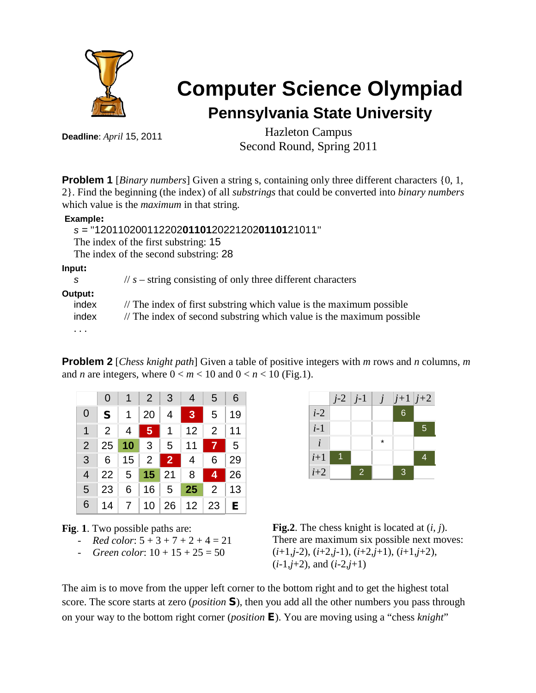

# **Computer Science Olympiad Pennsylvania State University**

**Deadline**: *April* 15, 2011

Hazleton Campus Second Round, Spring 2011

**Problem 1** [*Binary numbers*] Given a string s, containing only three different characters {0, 1, 2}. Find the beginning (the index) of all *substrings* that could be converted into *binary numbers* which value is the *maximum* in that string.

#### **Example:**

#### *s =* "120110200112202**01101**20221202**01101**21011"

The index of the first substring: 15

The index of the second substring: 28

**Input:**

|  | $\frac{1}{s}$ - string consisting of only three different characters |
|--|----------------------------------------------------------------------|
|  |                                                                      |

#### **Output**

| ıtput:   |                                                                                |
|----------|--------------------------------------------------------------------------------|
| index    | $\frac{1}{2}$ The index of first substring which value is the maximum possible |
| index    | // The index of second substring which value is the maximum possible           |
| $\cdots$ |                                                                                |

**Problem 2** [*Chess knight path*] Given a table of positive integers with *m* rows and *n* columns, *m* and *n* are integers, where  $0 < m < 10$  and  $0 < n < 10$  (Fig.1).

|   |              |  | $0 \mid 1 \mid 2 \mid 3 \mid 4 \mid 5 \mid 6$            |  |
|---|--------------|--|----------------------------------------------------------|--|
| 0 | $S$   1   20 |  | $4$ 3 5 19                                               |  |
| 1 |              |  | 2   4 <mark>  5</mark>   1   12   2   11                 |  |
|   |              |  | $2 \mid 25 \mid 10 \mid 3 \mid 5 \mid 11 \mid 7 \mid 5$  |  |
|   |              |  | $3 \t6 \t15$ 2 2 4 6 29                                  |  |
|   |              |  | $4 \mid 22 \mid 5 \mid 15 \mid 21 \mid 8 \mid 4 \mid 26$ |  |
|   |              |  | $5$ 23 6 16 5 25 2 13                                    |  |
|   |              |  | 6   14   7   10   26   12   23   <b>E</b>                |  |



**Fig**. **1**. Two possible paths are:

- *Red color*:  $5 + 3 + 7 + 2 + 4 = 21$
- *Green color*:  $10 + 15 + 25 = 50$



The aim is to move from the upper left corner to the bottom right and to get the highest total score. The score starts at zero (*position* S), then you add all the other numbers you pass through on your way to the bottom right corner (*position* E). You are moving using a "chess *knight*"